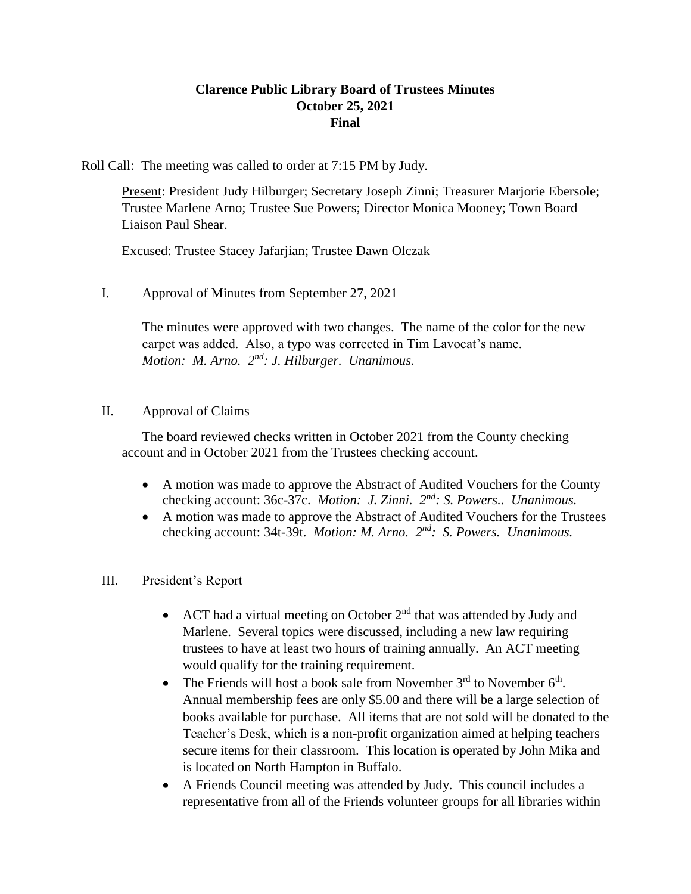# **Clarence Public Library Board of Trustees Minutes October 25, 2021 Final**

Roll Call: The meeting was called to order at 7:15 PM by Judy.

Present: President Judy Hilburger; Secretary Joseph Zinni; Treasurer Marjorie Ebersole; Trustee Marlene Arno; Trustee Sue Powers; Director Monica Mooney; Town Board Liaison Paul Shear.

Excused: Trustee Stacey Jafarjian; Trustee Dawn Olczak

I. Approval of Minutes from September 27, 2021

The minutes were approved with two changes. The name of the color for the new carpet was added. Also, a typo was corrected in Tim Lavocat's name. *Motion: M. Arno. 2<sup>nd</sup>: J. Hilburger. Unanimous.* 

# II. Approval of Claims

The board reviewed checks written in October 2021 from the County checking account and in October 2021 from the Trustees checking account.

- A motion was made to approve the Abstract of Audited Vouchers for the County checking account: 36c-37c. *Motion: J. Zinni. 2nd: S. Powers.. Unanimous.*
- A motion was made to approve the Abstract of Audited Vouchers for the Trustees checking account: 34t-39t. *Motion: M. Arno.*  $2^{nd}$ : S. Powers. Unanimous.
- III. President's Report
	- ACT had a virtual meeting on October  $2<sup>nd</sup>$  that was attended by Judy and Marlene. Several topics were discussed, including a new law requiring trustees to have at least two hours of training annually. An ACT meeting would qualify for the training requirement.
	- The Friends will host a book sale from November  $3<sup>rd</sup>$  to November  $6<sup>th</sup>$ . Annual membership fees are only \$5.00 and there will be a large selection of books available for purchase. All items that are not sold will be donated to the Teacher's Desk, which is a non-profit organization aimed at helping teachers secure items for their classroom. This location is operated by John Mika and is located on North Hampton in Buffalo.
	- A Friends Council meeting was attended by Judy. This council includes a representative from all of the Friends volunteer groups for all libraries within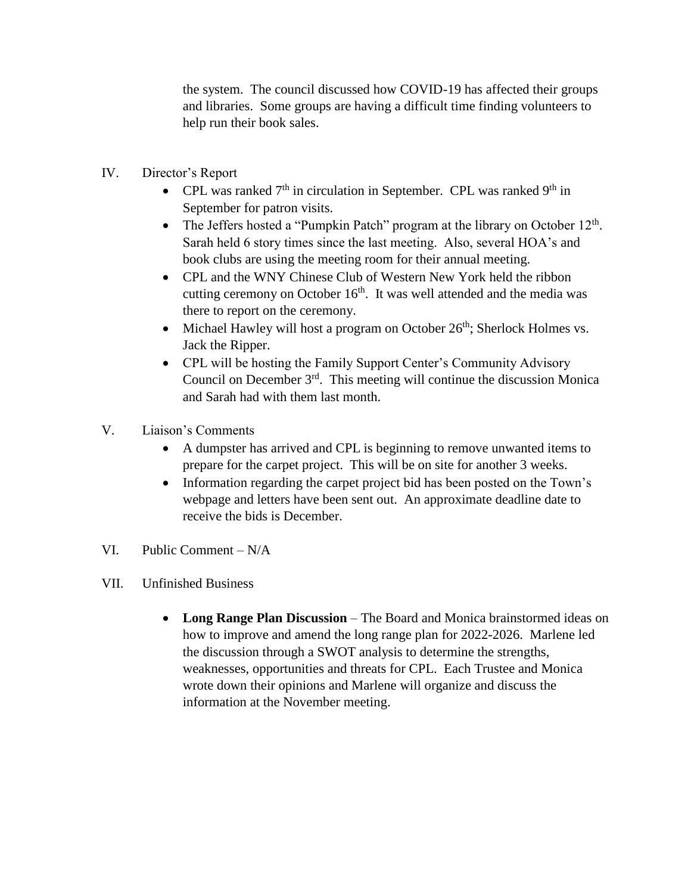the system. The council discussed how COVID-19 has affected their groups and libraries. Some groups are having a difficult time finding volunteers to help run their book sales.

- IV. Director's Report
	- CPL was ranked  $7<sup>th</sup>$  in circulation in September. CPL was ranked  $9<sup>th</sup>$  in September for patron visits.
	- The Jeffers hosted a "Pumpkin Patch" program at the library on October  $12<sup>th</sup>$ . Sarah held 6 story times since the last meeting. Also, several HOA's and book clubs are using the meeting room for their annual meeting.
	- CPL and the WNY Chinese Club of Western New York held the ribbon cutting ceremony on October  $16<sup>th</sup>$ . It was well attended and the media was there to report on the ceremony.
	- $\bullet$  Michael Hawley will host a program on October 26<sup>th</sup>; Sherlock Holmes vs. Jack the Ripper.
	- CPL will be hosting the Family Support Center's Community Advisory Council on December  $3<sup>rd</sup>$ . This meeting will continue the discussion Monica and Sarah had with them last month.
- V. Liaison's Comments
	- A dumpster has arrived and CPL is beginning to remove unwanted items to prepare for the carpet project. This will be on site for another 3 weeks.
	- Information regarding the carpet project bid has been posted on the Town's webpage and letters have been sent out. An approximate deadline date to receive the bids is December.
- VI. Public Comment N/A
- VII. Unfinished Business
	- **Long Range Plan Discussion** The Board and Monica brainstormed ideas on how to improve and amend the long range plan for 2022-2026. Marlene led the discussion through a SWOT analysis to determine the strengths, weaknesses, opportunities and threats for CPL. Each Trustee and Monica wrote down their opinions and Marlene will organize and discuss the information at the November meeting.